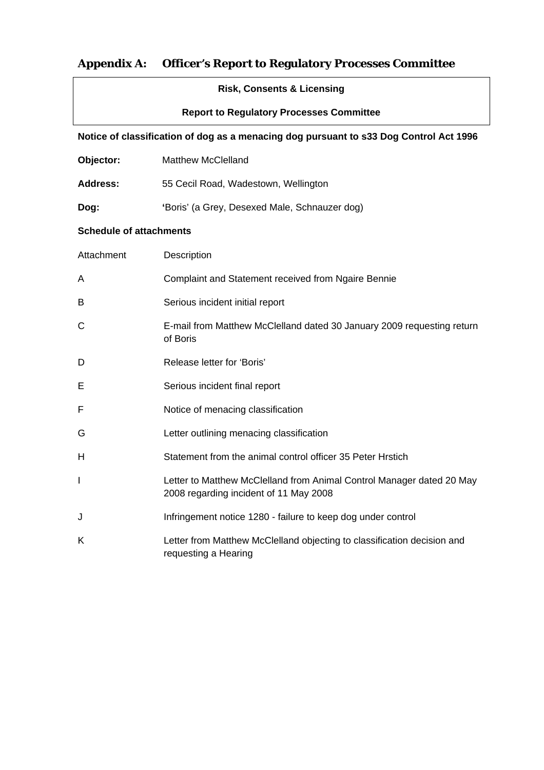# **Appendix A: Officer's Report to Regulatory Processes Committee**

| <b>Risk, Consents &amp; Licensing</b>                                                  |                                                                                                                 |
|----------------------------------------------------------------------------------------|-----------------------------------------------------------------------------------------------------------------|
| <b>Report to Regulatory Processes Committee</b>                                        |                                                                                                                 |
| Notice of classification of dog as a menacing dog pursuant to s33 Dog Control Act 1996 |                                                                                                                 |
| Objector:                                                                              | <b>Matthew McClelland</b>                                                                                       |
| <b>Address:</b>                                                                        | 55 Cecil Road, Wadestown, Wellington                                                                            |
| Dog:                                                                                   | 'Boris' (a Grey, Desexed Male, Schnauzer dog)                                                                   |
| <b>Schedule of attachments</b>                                                         |                                                                                                                 |
| Attachment                                                                             | Description                                                                                                     |
| A                                                                                      | Complaint and Statement received from Ngaire Bennie                                                             |
| B                                                                                      | Serious incident initial report                                                                                 |
| С                                                                                      | E-mail from Matthew McClelland dated 30 January 2009 requesting return<br>of Boris                              |
| D                                                                                      | Release letter for 'Boris'                                                                                      |
| Е                                                                                      | Serious incident final report                                                                                   |
| F                                                                                      | Notice of menacing classification                                                                               |
| G                                                                                      | Letter outlining menacing classification                                                                        |
| Н                                                                                      | Statement from the animal control officer 35 Peter Hrstich                                                      |
| $\mathbf l$                                                                            | Letter to Matthew McClelland from Animal Control Manager dated 20 May<br>2008 regarding incident of 11 May 2008 |
| J                                                                                      | Infringement notice 1280 - failure to keep dog under control                                                    |
| Κ                                                                                      | Letter from Matthew McClelland objecting to classification decision and<br>requesting a Hearing                 |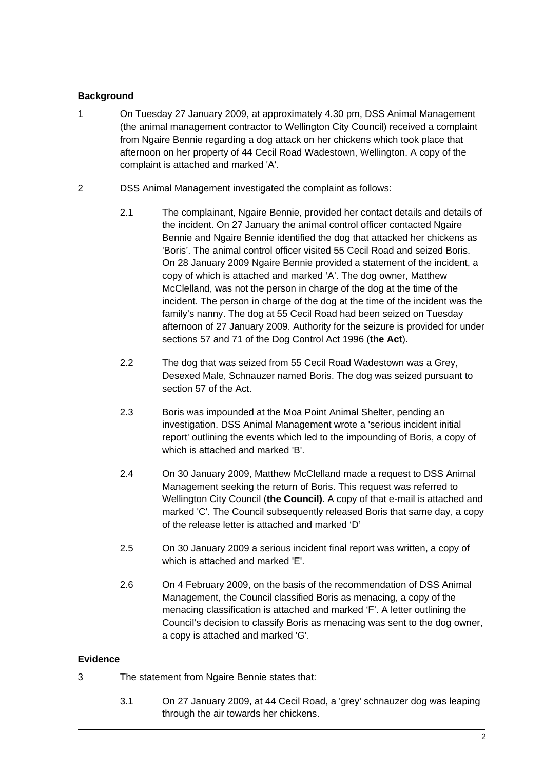### **Background**

- 1 On Tuesday 27 January 2009, at approximately 4.30 pm, DSS Animal Management (the animal management contractor to Wellington City Council) received a complaint from Ngaire Bennie regarding a dog attack on her chickens which took place that afternoon on her property of 44 Cecil Road Wadestown, Wellington. A copy of the complaint is attached and marked 'A'.
- 2 DSS Animal Management investigated the complaint as follows:
	- 2.1 The complainant, Ngaire Bennie, provided her contact details and details of the incident. On 27 January the animal control officer contacted Ngaire Bennie and Ngaire Bennie identified the dog that attacked her chickens as 'Boris'. The animal control officer visited 55 Cecil Road and seized Boris. On 28 January 2009 Ngaire Bennie provided a statement of the incident, a copy of which is attached and marked 'A'. The dog owner, Matthew McClelland, was not the person in charge of the dog at the time of the incident. The person in charge of the dog at the time of the incident was the family's nanny. The dog at 55 Cecil Road had been seized on Tuesday afternoon of 27 January 2009. Authority for the seizure is provided for under sections 57 and 71 of the Dog Control Act 1996 (**the Act**).
	- 2.2 The dog that was seized from 55 Cecil Road Wadestown was a Grey, Desexed Male, Schnauzer named Boris. The dog was seized pursuant to section 57 of the Act.
	- 2.3 Boris was impounded at the Moa Point Animal Shelter, pending an investigation. DSS Animal Management wrote a 'serious incident initial report' outlining the events which led to the impounding of Boris, a copy of which is attached and marked 'B'.
	- 2.4 On 30 January 2009, Matthew McClelland made a request to DSS Animal Management seeking the return of Boris. This request was referred to Wellington City Council (**the Council)**. A copy of that e-mail is attached and marked 'C'. The Council subsequently released Boris that same day, a copy of the release letter is attached and marked 'D'
	- 2.5 On 30 January 2009 a serious incident final report was written, a copy of which is attached and marked 'E'.
	- 2.6 On 4 February 2009, on the basis of the recommendation of DSS Animal Management, the Council classified Boris as menacing, a copy of the menacing classification is attached and marked 'F'. A letter outlining the Council's decision to classify Boris as menacing was sent to the dog owner, a copy is attached and marked 'G'.

### **Evidence**

- 3 The statement from Ngaire Bennie states that:
	- 3.1 On 27 January 2009, at 44 Cecil Road, a 'grey' schnauzer dog was leaping through the air towards her chickens.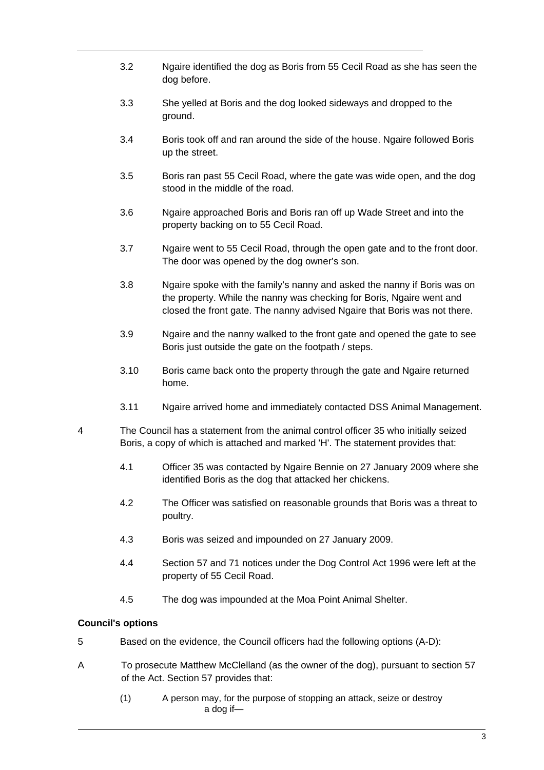- 3.2 Ngaire identified the dog as Boris from 55 Cecil Road as she has seen the dog before.
- 3.3 She yelled at Boris and the dog looked sideways and dropped to the ground.
- 3.4 Boris took off and ran around the side of the house. Ngaire followed Boris up the street.
- 3.5 Boris ran past 55 Cecil Road, where the gate was wide open, and the dog stood in the middle of the road.
- 3.6 Ngaire approached Boris and Boris ran off up Wade Street and into the property backing on to 55 Cecil Road.
- 3.7 Ngaire went to 55 Cecil Road, through the open gate and to the front door. The door was opened by the dog owner's son.
- 3.8 Ngaire spoke with the family's nanny and asked the nanny if Boris was on the property. While the nanny was checking for Boris, Ngaire went and closed the front gate. The nanny advised Ngaire that Boris was not there.
- 3.9 Ngaire and the nanny walked to the front gate and opened the gate to see Boris just outside the gate on the footpath / steps.
- 3.10 Boris came back onto the property through the gate and Ngaire returned home.
- 3.11 Ngaire arrived home and immediately contacted DSS Animal Management.
- 4 The Council has a statement from the animal control officer 35 who initially seized Boris, a copy of which is attached and marked 'H'. The statement provides that:
	- 4.1 Officer 35 was contacted by Ngaire Bennie on 27 January 2009 where she identified Boris as the dog that attacked her chickens.
	- 4.2 The Officer was satisfied on reasonable grounds that Boris was a threat to poultry.
	- 4.3 Boris was seized and impounded on 27 January 2009.
	- 4.4 Section 57 and 71 notices under the Dog Control Act 1996 were left at the property of 55 Cecil Road.
	- 4.5 The dog was impounded at the Moa Point Animal Shelter.

### **Council's options**

- 5 Based on the evidence, the Council officers had the following options (A-D):
- A To prosecute Matthew McClelland (as the owner of the dog), pursuant to section 57 of the Act. Section 57 provides that:
	- (1) A person may, for the purpose of stopping an attack, seize or destroy a dog if—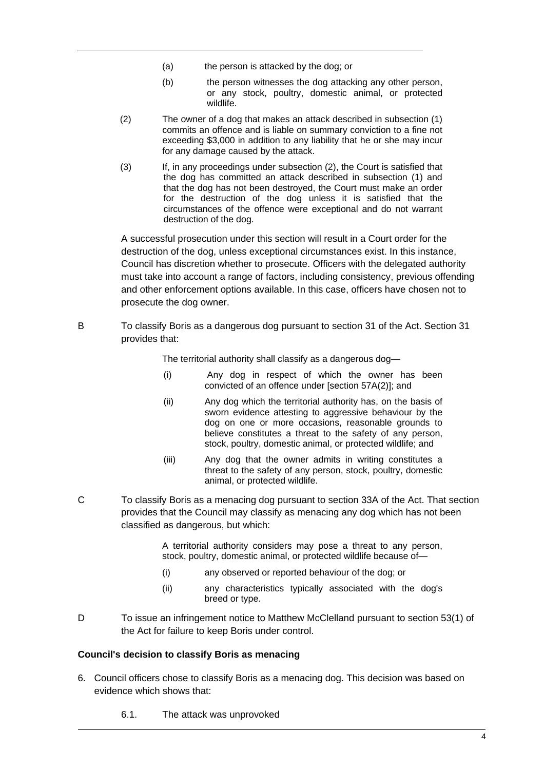- (a) the person is attacked by the dog; or
- (b) the person witnesses the dog attacking any other person, or any stock, poultry, domestic animal, or protected wildlife.
- (2) The owner of a dog that makes an attack described in subsection (1) commits an offence and is liable on summary conviction to a fine not exceeding \$3,000 in addition to any liability that he or she may incur for any damage caused by the attack.
- (3) If, in any proceedings under subsection (2), the Court is satisfied that the dog has committed an attack described in subsection (1) and that the dog has not been destroyed, the Court must make an order for the destruction of the dog unless it is satisfied that the circumstances of the offence were exceptional and do not warrant destruction of the dog.

A successful prosecution under this section will result in a Court order for the destruction of the dog, unless exceptional circumstances exist. In this instance, Council has discretion whether to prosecute. Officers with the delegated authority must take into account a range of factors, including consistency, previous offending and other enforcement options available. In this case, officers have chosen not to prosecute the dog owner.

B To classify Boris as a dangerous dog pursuant to section 31 of the Act. Section 31 provides that:

The territorial authority shall classify as a dangerous dog—

- (i) Any dog in respect of which the owner has been convicted of an offence under [section 57A(2)]; and
- (ii) Any dog which the territorial authority has, on the basis of sworn evidence attesting to aggressive behaviour by the dog on one or more occasions, reasonable grounds to believe constitutes a threat to the safety of any person, stock, poultry, domestic animal, or protected wildlife; and
- (iii) Any dog that the owner admits in writing constitutes a threat to the safety of any person, stock, poultry, domestic animal, or protected wildlife.
- C To classify Boris as a menacing dog pursuant to section 33A of the Act. That section provides that the Council may classify as menacing any dog which has not been classified as dangerous, but which:

A territorial authority considers may pose a threat to any person, stock, poultry, domestic animal, or protected wildlife because of—

- (i) any observed or reported behaviour of the dog; or
- (ii) any characteristics typically associated with the dog's breed or type.
- D To issue an infringement notice to Matthew McClelland pursuant to section 53(1) of the Act for failure to keep Boris under control.

#### **Council's decision to classify Boris as menacing**

- 6. Council officers chose to classify Boris as a menacing dog. This decision was based on evidence which shows that:
	- 6.1. The attack was unprovoked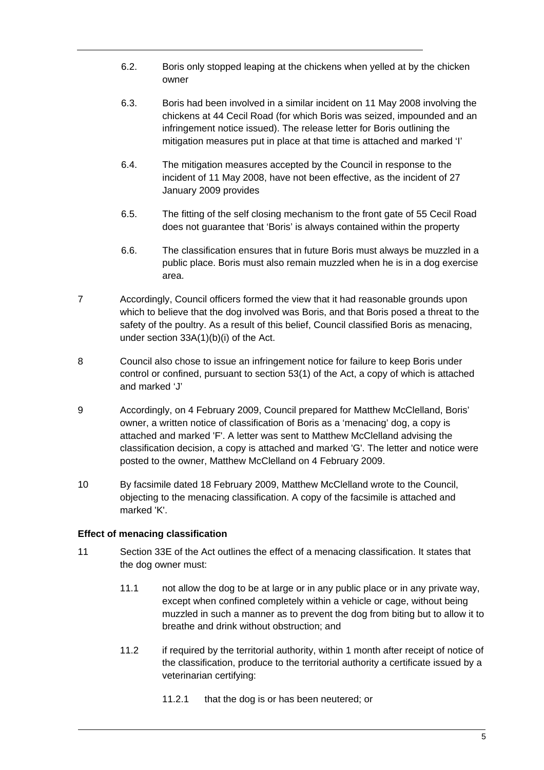- 6.2. Boris only stopped leaping at the chickens when yelled at by the chicken owner
- 6.3. Boris had been involved in a similar incident on 11 May 2008 involving the chickens at 44 Cecil Road (for which Boris was seized, impounded and an infringement notice issued). The release letter for Boris outlining the mitigation measures put in place at that time is attached and marked 'I'
- 6.4. The mitigation measures accepted by the Council in response to the incident of 11 May 2008, have not been effective, as the incident of 27 January 2009 provides
- 6.5. The fitting of the self closing mechanism to the front gate of 55 Cecil Road does not guarantee that 'Boris' is always contained within the property
- 6.6. The classification ensures that in future Boris must always be muzzled in a public place. Boris must also remain muzzled when he is in a dog exercise area.
- 7 Accordingly, Council officers formed the view that it had reasonable grounds upon which to believe that the dog involved was Boris, and that Boris posed a threat to the safety of the poultry. As a result of this belief, Council classified Boris as menacing, under section 33A(1)(b)(i) of the Act.
- 8 Council also chose to issue an infringement notice for failure to keep Boris under control or confined, pursuant to section 53(1) of the Act, a copy of which is attached and marked 'J'
- 9 Accordingly, on 4 February 2009, Council prepared for Matthew McClelland, Boris' owner, a written notice of classification of Boris as a 'menacing' dog, a copy is attached and marked 'F'. A letter was sent to Matthew McClelland advising the classification decision, a copy is attached and marked 'G'. The letter and notice were posted to the owner, Matthew McClelland on 4 February 2009.
- 10 By facsimile dated 18 February 2009, Matthew McClelland wrote to the Council, objecting to the menacing classification. A copy of the facsimile is attached and marked 'K'.

### **Effect of menacing classification**

- 11 Section 33E of the Act outlines the effect of a menacing classification. It states that the dog owner must:
	- 11.1 not allow the dog to be at large or in any public place or in any private way, except when confined completely within a vehicle or cage, without being muzzled in such a manner as to prevent the dog from biting but to allow it to breathe and drink without obstruction; and
	- 11.2 if required by the territorial authority, within 1 month after receipt of notice of the classification, produce to the territorial authority a certificate issued by a veterinarian certifying:
		- 11.2.1 that the dog is or has been neutered; or